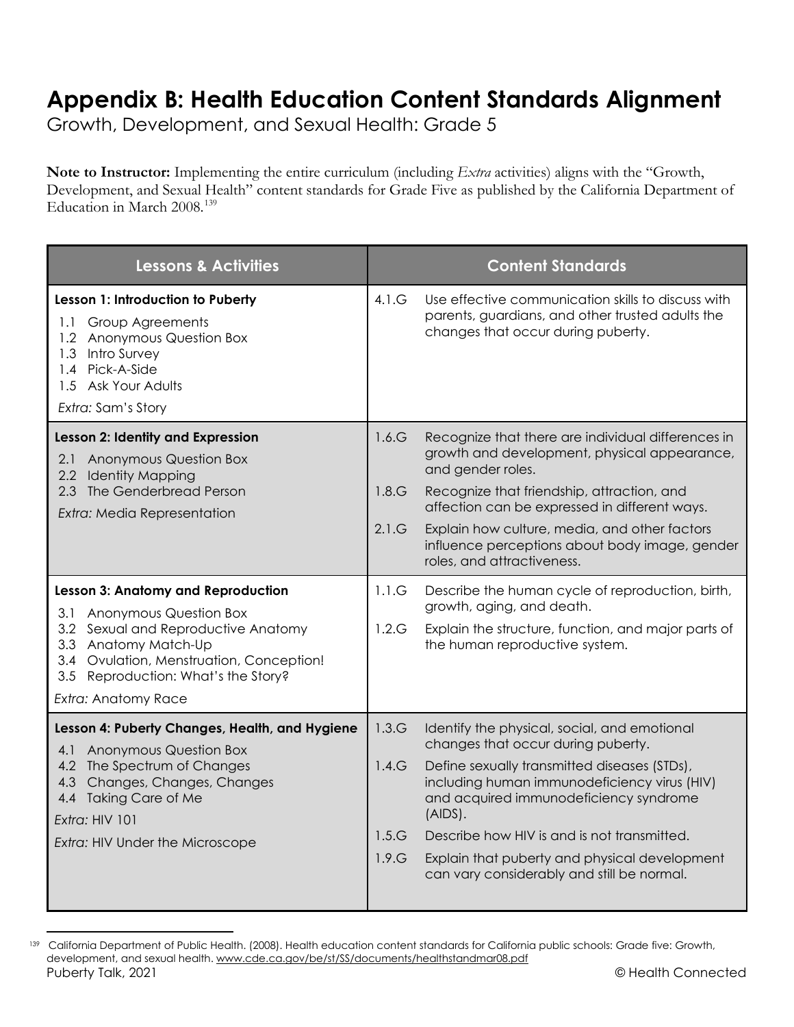## **Appendix B: Health Education Content Standards Alignment**

Growth, Development, and Sexual Health: Grade 5

**Note to Instructor:** Implementing the entire curriculum (including *Extra* activities) aligns with the "Growth, Development, and Sexual Health" content standards for Grade Five as published by the California Department of Education in March 2008.<sup>[139](#page-0-0)</sup>

| <b>Lessons &amp; Activities</b>                                                                                                                                                                                                                     | <b>Content Standards</b>                                                                                                                                                                                                                                                                                                                                                                                                     |  |
|-----------------------------------------------------------------------------------------------------------------------------------------------------------------------------------------------------------------------------------------------------|------------------------------------------------------------------------------------------------------------------------------------------------------------------------------------------------------------------------------------------------------------------------------------------------------------------------------------------------------------------------------------------------------------------------------|--|
| Lesson 1: Introduction to Puberty<br><b>Group Agreements</b><br>1.1<br>1.2 Anonymous Question Box<br>1.3 Intro Survey<br>1.4 Pick-A-Side<br>1.5 Ask Your Adults<br>Extra: Sam's Story                                                               | Use effective communication skills to discuss with<br>4.1.G<br>parents, guardians, and other trusted adults the<br>changes that occur during puberty.                                                                                                                                                                                                                                                                        |  |
| Lesson 2: Identity and Expression<br><b>Anonymous Question Box</b><br>2.1<br>2.2 Identity Mapping<br>2.3 The Genderbread Person<br>Extra: Media Representation                                                                                      | 1.6.G<br>Recognize that there are individual differences in<br>growth and development, physical appearance,<br>and gender roles.<br>1.8.G<br>Recognize that friendship, attraction, and<br>affection can be expressed in different ways.<br>2.1.G<br>Explain how culture, media, and other factors<br>influence perceptions about body image, gender<br>roles, and attractiveness.                                           |  |
| Lesson 3: Anatomy and Reproduction<br><b>Anonymous Question Box</b><br>3.1<br>3.2 Sexual and Reproductive Anatomy<br>3.3 Anatomy Match-Up<br>3.4 Ovulation, Menstruation, Conception!<br>3.5 Reproduction: What's the Story?<br>Extra: Anatomy Race | 1.1.G<br>Describe the human cycle of reproduction, birth,<br>growth, aging, and death.<br>1.2.G<br>Explain the structure, function, and major parts of<br>the human reproductive system.                                                                                                                                                                                                                                     |  |
| Lesson 4: Puberty Changes, Health, and Hygiene<br>4.1<br><b>Anonymous Question Box</b><br>4.2 The Spectrum of Changes<br>Changes, Changes, Changes<br>4.3<br><b>Taking Care of Me</b><br>4.4<br>Extra: HIV 101<br>Extra: HIV Under the Microscope   | 1.3.G<br>Identify the physical, social, and emotional<br>changes that occur during puberty.<br>1.4.G<br>Define sexually transmitted diseases (STDs),<br>including human immunodeficiency virus (HIV)<br>and acquired immunodeficiency syndrome<br>$(AIDS)$ .<br>1.5.G<br>Describe how HIV is and is not transmitted.<br>1.9.G<br>Explain that puberty and physical development<br>can vary considerably and still be normal. |  |

<span id="page-0-0"></span>Puberty Talk, 2021 © Health Connected 139 California Department of Public Health. (2008). Health education content standards for California public schools: Grade five: Growth, development, and sexual health. www.cde.ca.gov/be/st/SS/documents/healthstandmar08.pdf